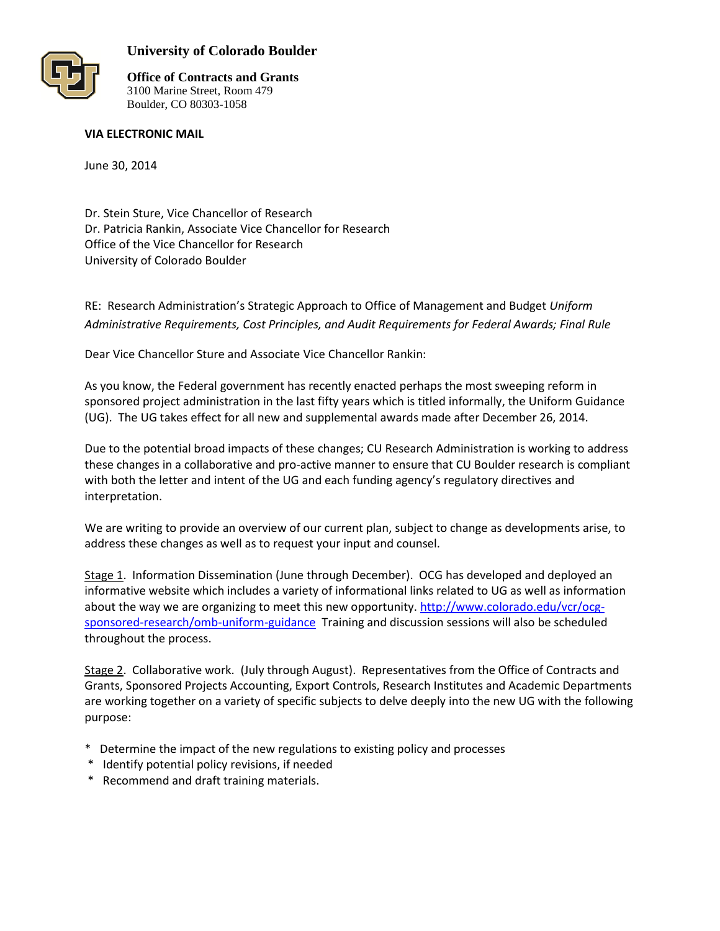

## **University of Colorado Boulder**

**Office of Contracts and Grants** 3100 Marine Street, Room 479 Boulder, CO 80303-1058

## **VIA ELECTRONIC MAIL**

June 30, 2014

Dr. Stein Sture, Vice Chancellor of Research Dr. Patricia Rankin, Associate Vice Chancellor for Research Office of the Vice Chancellor for Research University of Colorado Boulder

RE: Research Administration's Strategic Approach to Office of Management and Budget *Uniform Administrative Requirements, Cost Principles, and Audit Requirements for Federal Awards; Final Rule*

Dear Vice Chancellor Sture and Associate Vice Chancellor Rankin:

As you know, the Federal government has recently enacted perhaps the most sweeping reform in sponsored project administration in the last fifty years which is titled informally, the Uniform Guidance (UG). The UG takes effect for all new and supplemental awards made after December 26, 2014.

Due to the potential broad impacts of these changes; CU Research Administration is working to address these changes in a collaborative and pro-active manner to ensure that CU Boulder research is compliant with both the letter and intent of the UG and each funding agency's regulatory directives and interpretation.

We are writing to provide an overview of our current plan, subject to change as developments arise, to address these changes as well as to request your input and counsel.

Stage 1. Information Dissemination (June through December). OCG has developed and deployed an informative website which includes a variety of informational links related to UG as well as information about the way we are organizing to meet this new opportunity. [http://www.colorado.edu/vcr/ocg](http://www.colorado.edu/vcr/ocg-sponsored-research/omb-uniform-guidance)[sponsored-research/omb-uniform-guidance](http://www.colorado.edu/vcr/ocg-sponsored-research/omb-uniform-guidance) Training and discussion sessions will also be scheduled throughout the process.

Stage 2. Collaborative work. (July through August). Representatives from the Office of Contracts and Grants, Sponsored Projects Accounting, Export Controls, Research Institutes and Academic Departments are working together on a variety of specific subjects to delve deeply into the new UG with the following purpose:

- \* Determine the impact of the new regulations to existing policy and processes
- \* Identify potential policy revisions, if needed
- \* Recommend and draft training materials.